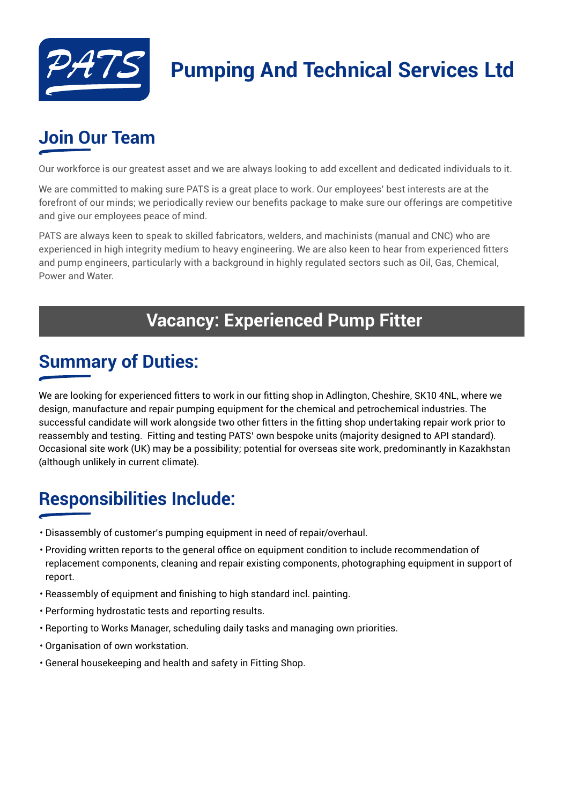

# **Pumping And Technical Services Ltd**

## **Join Our Team**

Our workforce is our greatest asset and we are always looking to add excellent and dedicated individuals to it.

We are committed to making sure PATS is a great place to work. Our employees' best interests are at the forefront of our minds; we periodically review our benefits package to make sure our offerings are competitive and give our employees peace of mind.

PATS are always keen to speak to skilled fabricators, welders, and machinists (manual and CNC) who are experienced in high integrity medium to heavy engineering. We are also keen to hear from experienced fitters and pump engineers, particularly with a background in highly regulated sectors such as Oil, Gas, Chemical, Power and Water.

#### **Vacancy: Experienced Pump Fitter**

#### **Summary of Duties:**

We are looking for experienced fitters to work in our fitting shop in Adlington, Cheshire, SK10 4NL, where we design, manufacture and repair pumping equipment for the chemical and petrochemical industries. The successful candidate will work alongside two other fitters in the fitting shop undertaking repair work prior to reassembly and testing. Fitting and testing PATS' own bespoke units (majority designed to API standard). Occasional site work (UK) may be a possibility; potential for overseas site work, predominantly in Kazakhstan (although unlikely in current climate).

## **Responsibilities Include:**

- Disassembly of customer's pumping equipment in need of repair/overhaul.
- Providing written reports to the general office on equipment condition to include recommendation of replacement components, cleaning and repair existing components, photographing equipment in support of report.
- Reassembly of equipment and finishing to high standard incl. painting.
- Performing hydrostatic tests and reporting results.
- Reporting to Works Manager, scheduling daily tasks and managing own priorities.
- Organisation of own workstation.
- General housekeeping and health and safety in Fitting Shop.